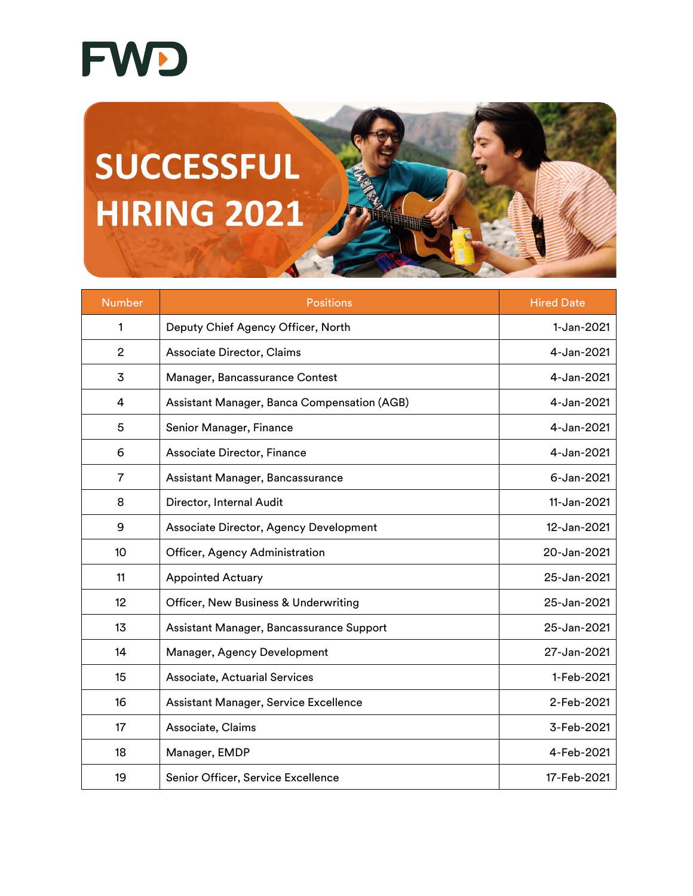

**SUCCESSFUL HIRING 2021** 

| <b>Number</b>  | <b>Positions</b>                            | <b>Hired Date</b> |
|----------------|---------------------------------------------|-------------------|
| 1              | Deputy Chief Agency Officer, North          | 1-Jan-2021        |
| $\overline{2}$ | Associate Director, Claims                  | 4-Jan-2021        |
| 3              | Manager, Bancassurance Contest              | 4-Jan-2021        |
| 4              | Assistant Manager, Banca Compensation (AGB) | 4-Jan-2021        |
| 5              | Senior Manager, Finance                     | 4-Jan-2021        |
| 6              | Associate Director, Finance                 | 4-Jan-2021        |
| $\overline{7}$ | Assistant Manager, Bancassurance            | 6-Jan-2021        |
| 8              | Director, Internal Audit                    | 11-Jan-2021       |
| 9              | Associate Director, Agency Development      | 12-Jan-2021       |
| 10             | Officer, Agency Administration              | 20-Jan-2021       |
| 11             | <b>Appointed Actuary</b>                    | 25-Jan-2021       |
| 12             | Officer, New Business & Underwriting        | 25-Jan-2021       |
| 13             | Assistant Manager, Bancassurance Support    | 25-Jan-2021       |
| 14             | Manager, Agency Development                 | 27-Jan-2021       |
| 15             | <b>Associate, Actuarial Services</b>        | 1-Feb-2021        |
| 16             | Assistant Manager, Service Excellence       | 2-Feb-2021        |
| 17             | Associate, Claims                           | 3-Feb-2021        |
| 18             | Manager, EMDP                               | 4-Feb-2021        |
| 19             | Senior Officer, Service Excellence          | 17-Feb-2021       |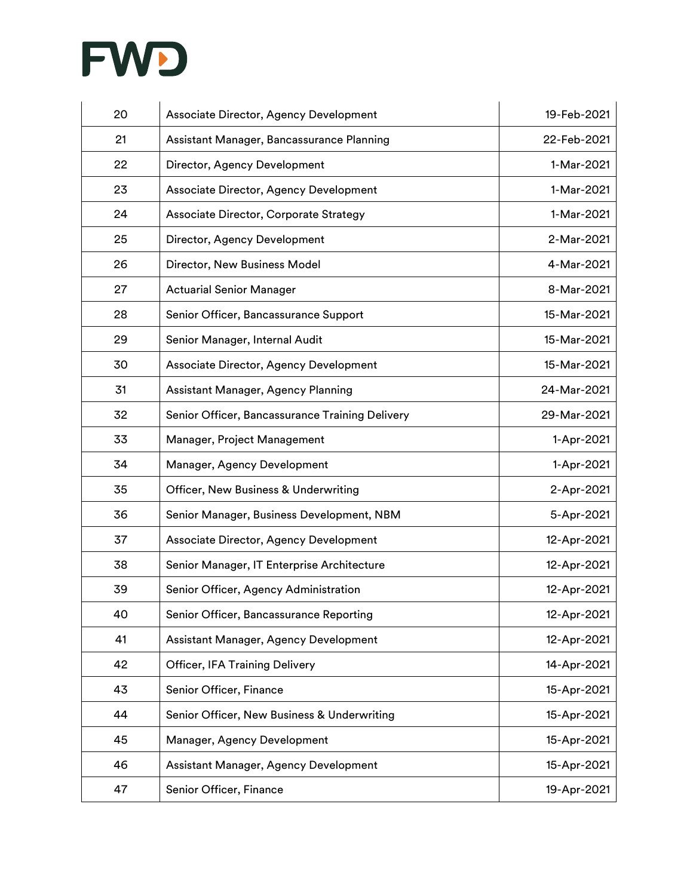

| 20 | Associate Director, Agency Development          | 19-Feb-2021 |
|----|-------------------------------------------------|-------------|
| 21 | Assistant Manager, Bancassurance Planning       | 22-Feb-2021 |
| 22 | Director, Agency Development                    | 1-Mar-2021  |
| 23 | Associate Director, Agency Development          | 1-Mar-2021  |
| 24 | Associate Director, Corporate Strategy          | 1-Mar-2021  |
| 25 | Director, Agency Development                    | 2-Mar-2021  |
| 26 | Director, New Business Model                    | 4-Mar-2021  |
| 27 | <b>Actuarial Senior Manager</b>                 | 8-Mar-2021  |
| 28 | Senior Officer, Bancassurance Support           | 15-Mar-2021 |
| 29 | Senior Manager, Internal Audit                  | 15-Mar-2021 |
| 30 | Associate Director, Agency Development          | 15-Mar-2021 |
| 31 | Assistant Manager, Agency Planning              | 24-Mar-2021 |
| 32 | Senior Officer, Bancassurance Training Delivery | 29-Mar-2021 |
| 33 | Manager, Project Management                     | 1-Apr-2021  |
| 34 | Manager, Agency Development                     | 1-Apr-2021  |
| 35 | Officer, New Business & Underwriting            | 2-Apr-2021  |
| 36 | Senior Manager, Business Development, NBM       | 5-Apr-2021  |
| 37 | Associate Director, Agency Development          | 12-Apr-2021 |
| 38 | Senior Manager, IT Enterprise Architecture      | 12-Apr-2021 |
| 39 | Senior Officer, Agency Administration           | 12-Apr-2021 |
| 40 | Senior Officer, Bancassurance Reporting         | 12-Apr-2021 |
| 41 | Assistant Manager, Agency Development           | 12-Apr-2021 |
| 42 | Officer, IFA Training Delivery                  | 14-Apr-2021 |
| 43 | Senior Officer, Finance                         | 15-Apr-2021 |
| 44 | Senior Officer, New Business & Underwriting     | 15-Apr-2021 |
| 45 | Manager, Agency Development                     | 15-Apr-2021 |
| 46 | Assistant Manager, Agency Development           | 15-Apr-2021 |
| 47 | Senior Officer, Finance                         | 19-Apr-2021 |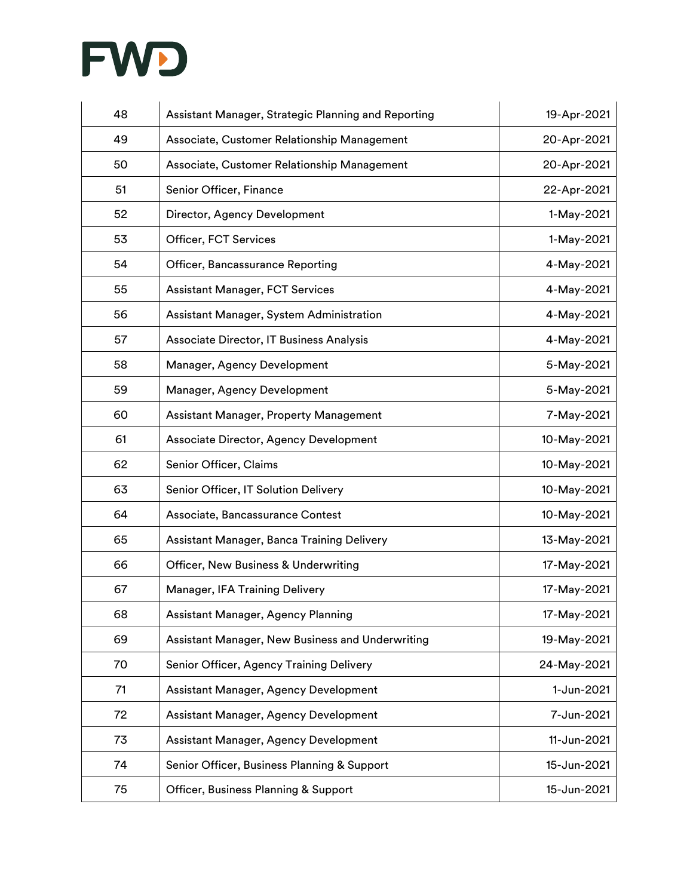

| 48 | Assistant Manager, Strategic Planning and Reporting | 19-Apr-2021 |
|----|-----------------------------------------------------|-------------|
| 49 | Associate, Customer Relationship Management         | 20-Apr-2021 |
| 50 | Associate, Customer Relationship Management         | 20-Apr-2021 |
| 51 | Senior Officer, Finance                             | 22-Apr-2021 |
| 52 | Director, Agency Development                        | 1-May-2021  |
| 53 | Officer, FCT Services                               | 1-May-2021  |
| 54 | Officer, Bancassurance Reporting                    | 4-May-2021  |
| 55 | <b>Assistant Manager, FCT Services</b>              | 4-May-2021  |
| 56 | Assistant Manager, System Administration            | 4-May-2021  |
| 57 | Associate Director, IT Business Analysis            | 4-May-2021  |
| 58 | Manager, Agency Development                         | 5-May-2021  |
| 59 | Manager, Agency Development                         | 5-May-2021  |
| 60 | Assistant Manager, Property Management              | 7-May-2021  |
| 61 | Associate Director, Agency Development              | 10-May-2021 |
| 62 | Senior Officer, Claims                              | 10-May-2021 |
| 63 | Senior Officer, IT Solution Delivery                | 10-May-2021 |
| 64 | Associate, Bancassurance Contest                    | 10-May-2021 |
| 65 | Assistant Manager, Banca Training Delivery          | 13-May-2021 |
| 66 | Officer, New Business & Underwriting                | 17-May-2021 |
| 67 | Manager, IFA Training Delivery                      | 17-May-2021 |
| 68 | Assistant Manager, Agency Planning                  | 17-May-2021 |
| 69 | Assistant Manager, New Business and Underwriting    | 19-May-2021 |
| 70 | Senior Officer, Agency Training Delivery            | 24-May-2021 |
| 71 | Assistant Manager, Agency Development               | 1-Jun-2021  |
| 72 | Assistant Manager, Agency Development               | 7-Jun-2021  |
| 73 | Assistant Manager, Agency Development               | 11-Jun-2021 |
| 74 | Senior Officer, Business Planning & Support         | 15-Jun-2021 |
| 75 | Officer, Business Planning & Support                | 15-Jun-2021 |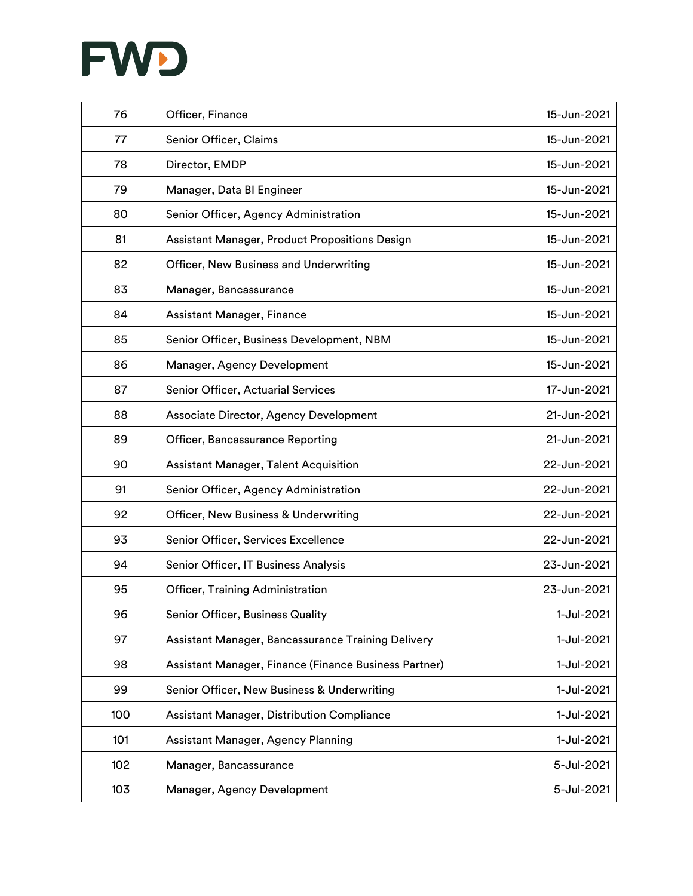

| 76  | Officer, Finance                                      | 15-Jun-2021 |
|-----|-------------------------------------------------------|-------------|
| 77  | Senior Officer, Claims                                | 15-Jun-2021 |
| 78  | Director, EMDP                                        | 15-Jun-2021 |
| 79  | Manager, Data BI Engineer                             | 15-Jun-2021 |
| 80  | Senior Officer, Agency Administration                 | 15-Jun-2021 |
| 81  | Assistant Manager, Product Propositions Design        | 15-Jun-2021 |
| 82  | Officer, New Business and Underwriting                | 15-Jun-2021 |
| 83  | Manager, Bancassurance                                | 15-Jun-2021 |
| 84  | Assistant Manager, Finance                            | 15-Jun-2021 |
| 85  | Senior Officer, Business Development, NBM             | 15-Jun-2021 |
| 86  | Manager, Agency Development                           | 15-Jun-2021 |
| 87  | Senior Officer, Actuarial Services                    | 17-Jun-2021 |
| 88  | Associate Director, Agency Development                | 21-Jun-2021 |
| 89  | Officer, Bancassurance Reporting                      | 21-Jun-2021 |
| 90  | <b>Assistant Manager, Talent Acquisition</b>          | 22-Jun-2021 |
| 91  | Senior Officer, Agency Administration                 | 22-Jun-2021 |
| 92  | Officer, New Business & Underwriting                  | 22-Jun-2021 |
| 93  | Senior Officer, Services Excellence                   | 22-Jun-2021 |
| 94  | Senior Officer, IT Business Analysis                  | 23-Jun-2021 |
| 95  | Officer, Training Administration                      | 23-Jun-2021 |
| 96  | Senior Officer, Business Quality                      | 1-Jul-2021  |
| 97  | Assistant Manager, Bancassurance Training Delivery    | 1-Jul-2021  |
| 98  | Assistant Manager, Finance (Finance Business Partner) | 1-Jul-2021  |
| 99  | Senior Officer, New Business & Underwriting           | 1-Jul-2021  |
| 100 | Assistant Manager, Distribution Compliance            | 1-Jul-2021  |
| 101 | Assistant Manager, Agency Planning                    | 1-Jul-2021  |
| 102 | Manager, Bancassurance                                | 5-Jul-2021  |
| 103 | Manager, Agency Development                           | 5-Jul-2021  |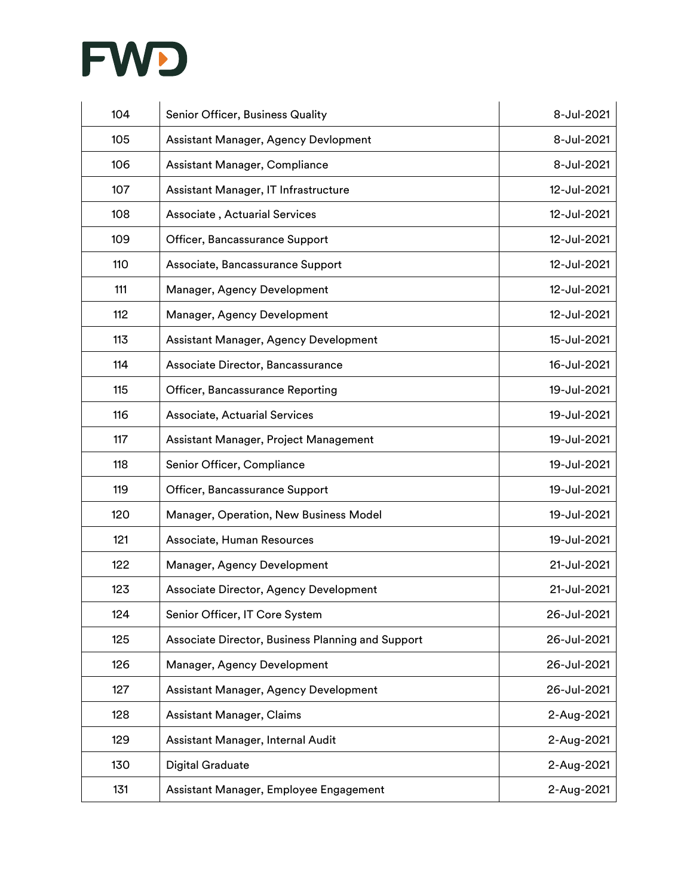

| 104 | Senior Officer, Business Quality                  | 8-Jul-2021  |
|-----|---------------------------------------------------|-------------|
| 105 | Assistant Manager, Agency Devlopment              | 8-Jul-2021  |
| 106 | Assistant Manager, Compliance                     | 8-Jul-2021  |
| 107 | Assistant Manager, IT Infrastructure              | 12-Jul-2021 |
| 108 | Associate, Actuarial Services                     | 12-Jul-2021 |
| 109 | Officer, Bancassurance Support                    | 12-Jul-2021 |
| 110 | Associate, Bancassurance Support                  | 12-Jul-2021 |
| 111 | Manager, Agency Development                       | 12-Jul-2021 |
| 112 | Manager, Agency Development                       | 12-Jul-2021 |
| 113 | Assistant Manager, Agency Development             | 15-Jul-2021 |
| 114 | Associate Director, Bancassurance                 | 16-Jul-2021 |
| 115 | Officer, Bancassurance Reporting                  | 19-Jul-2021 |
| 116 | Associate, Actuarial Services                     | 19-Jul-2021 |
| 117 | Assistant Manager, Project Management             | 19-Jul-2021 |
| 118 | Senior Officer, Compliance                        | 19-Jul-2021 |
| 119 | Officer, Bancassurance Support                    | 19-Jul-2021 |
| 120 | Manager, Operation, New Business Model            | 19-Jul-2021 |
| 121 | Associate, Human Resources                        | 19-Jul-2021 |
| 122 | Manager, Agency Development                       | 21-Jul-2021 |
| 123 | Associate Director, Agency Development            | 21-Jul-2021 |
| 124 | Senior Officer, IT Core System                    | 26-Jul-2021 |
| 125 | Associate Director, Business Planning and Support | 26-Jul-2021 |
| 126 | Manager, Agency Development                       | 26-Jul-2021 |
| 127 | Assistant Manager, Agency Development             | 26-Jul-2021 |
| 128 | <b>Assistant Manager, Claims</b>                  | 2-Aug-2021  |
| 129 | Assistant Manager, Internal Audit                 | 2-Aug-2021  |
| 130 | <b>Digital Graduate</b>                           | 2-Aug-2021  |
| 131 | Assistant Manager, Employee Engagement            | 2-Aug-2021  |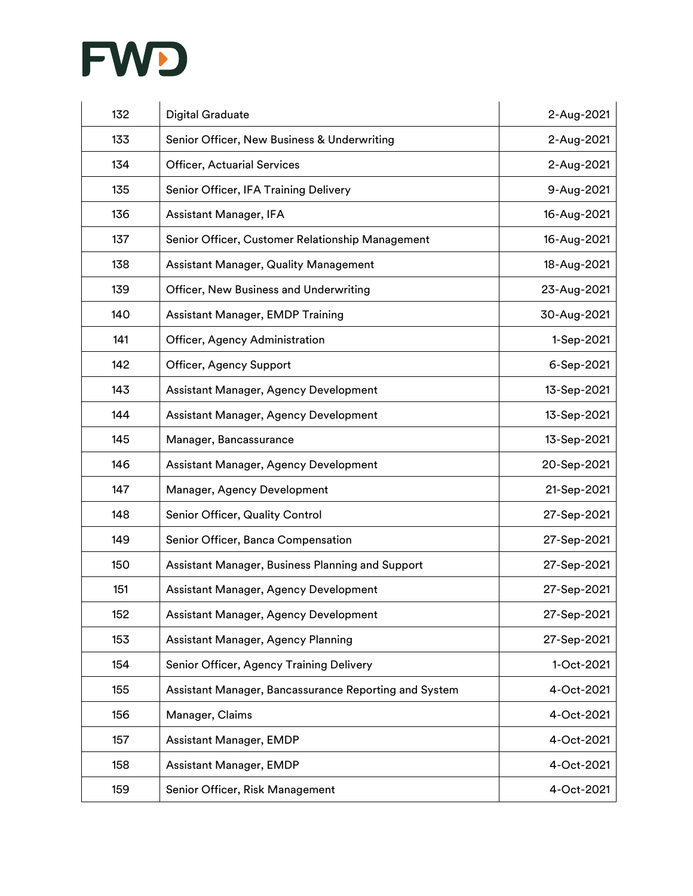

| 132 | <b>Digital Graduate</b>                               | 2-Aug-2021  |
|-----|-------------------------------------------------------|-------------|
| 133 | Senior Officer, New Business & Underwriting           | 2-Aug-2021  |
| 134 | <b>Officer, Actuarial Services</b>                    | 2-Aug-2021  |
| 135 | Senior Officer, IFA Training Delivery                 | 9-Aug-2021  |
| 136 | Assistant Manager, IFA                                | 16-Aug-2021 |
| 137 | Senior Officer, Customer Relationship Management      | 16-Aug-2021 |
| 138 | Assistant Manager, Quality Management                 | 18-Aug-2021 |
| 139 | Officer, New Business and Underwriting                | 23-Aug-2021 |
| 140 | <b>Assistant Manager, EMDP Training</b>               | 30-Aug-2021 |
| 141 | Officer, Agency Administration                        | 1-Sep-2021  |
| 142 | Officer, Agency Support                               | 6-Sep-2021  |
| 143 | Assistant Manager, Agency Development                 | 13-Sep-2021 |
| 144 | Assistant Manager, Agency Development                 | 13-Sep-2021 |
| 145 | Manager, Bancassurance                                | 13-Sep-2021 |
| 146 | Assistant Manager, Agency Development                 | 20-Sep-2021 |
| 147 | Manager, Agency Development                           | 21-Sep-2021 |
| 148 | Senior Officer, Quality Control                       | 27-Sep-2021 |
| 149 | Senior Officer, Banca Compensation                    | 27-Sep-2021 |
| 150 | Assistant Manager, Business Planning and Support      | 27-Sep-2021 |
| 151 | Assistant Manager, Agency Development                 | 27-Sep-2021 |
| 152 | Assistant Manager, Agency Development                 | 27-Sep-2021 |
| 153 | Assistant Manager, Agency Planning                    | 27-Sep-2021 |
| 154 | Senior Officer, Agency Training Delivery              | 1-Oct-2021  |
| 155 | Assistant Manager, Bancassurance Reporting and System | 4-Oct-2021  |
| 156 | Manager, Claims                                       | 4-Oct-2021  |
| 157 | Assistant Manager, EMDP                               | 4-Oct-2021  |
| 158 | <b>Assistant Manager, EMDP</b>                        | 4-Oct-2021  |
| 159 | Senior Officer, Risk Management                       | 4-Oct-2021  |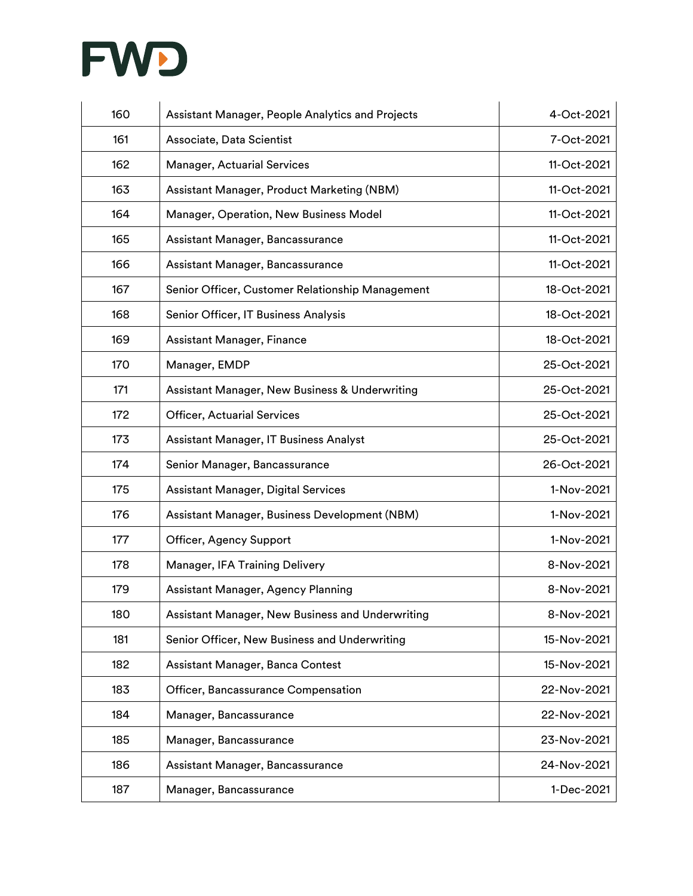

| 160 | Assistant Manager, People Analytics and Projects | 4-Oct-2021  |
|-----|--------------------------------------------------|-------------|
| 161 | Associate, Data Scientist                        | 7-Oct-2021  |
| 162 | <b>Manager, Actuarial Services</b>               | 11-Oct-2021 |
| 163 | Assistant Manager, Product Marketing (NBM)       | 11-Oct-2021 |
| 164 | Manager, Operation, New Business Model           | 11-Oct-2021 |
| 165 | Assistant Manager, Bancassurance                 | 11-Oct-2021 |
| 166 | Assistant Manager, Bancassurance                 | 11-Oct-2021 |
| 167 | Senior Officer, Customer Relationship Management | 18-Oct-2021 |
| 168 | Senior Officer, IT Business Analysis             | 18-Oct-2021 |
| 169 | Assistant Manager, Finance                       | 18-Oct-2021 |
| 170 | Manager, EMDP                                    | 25-Oct-2021 |
| 171 | Assistant Manager, New Business & Underwriting   | 25-Oct-2021 |
| 172 | <b>Officer, Actuarial Services</b>               | 25-Oct-2021 |
| 173 | Assistant Manager, IT Business Analyst           | 25-Oct-2021 |
| 174 | Senior Manager, Bancassurance                    | 26-Oct-2021 |
| 175 | Assistant Manager, Digital Services              | 1-Nov-2021  |
| 176 | Assistant Manager, Business Development (NBM)    | 1-Nov-2021  |
| 177 | Officer, Agency Support                          | 1-Nov-2021  |
| 178 | Manager, IFA Training Delivery                   | 8-Nov-2021  |
| 179 | Assistant Manager, Agency Planning               | 8-Nov-2021  |
| 180 | Assistant Manager, New Business and Underwriting | 8-Nov-2021  |
| 181 | Senior Officer, New Business and Underwriting    | 15-Nov-2021 |
| 182 | Assistant Manager, Banca Contest                 | 15-Nov-2021 |
| 183 | Officer, Bancassurance Compensation              | 22-Nov-2021 |
| 184 | Manager, Bancassurance                           | 22-Nov-2021 |
| 185 | Manager, Bancassurance                           | 23-Nov-2021 |
| 186 | Assistant Manager, Bancassurance                 | 24-Nov-2021 |
| 187 | Manager, Bancassurance                           | 1-Dec-2021  |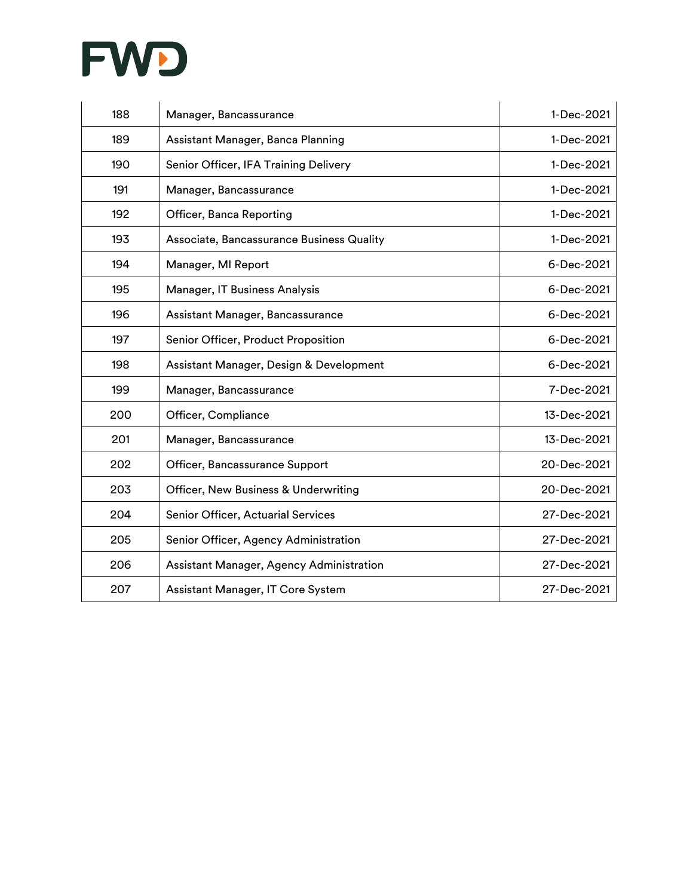

| 188 | Manager, Bancassurance                    | 1-Dec-2021  |
|-----|-------------------------------------------|-------------|
| 189 | Assistant Manager, Banca Planning         | 1-Dec-2021  |
| 190 | Senior Officer, IFA Training Delivery     | 1-Dec-2021  |
| 191 | Manager, Bancassurance                    | 1-Dec-2021  |
| 192 | Officer, Banca Reporting                  | 1-Dec-2021  |
| 193 | Associate, Bancassurance Business Quality | 1-Dec-2021  |
| 194 | Manager, MI Report                        | 6-Dec-2021  |
| 195 | Manager, IT Business Analysis             | 6-Dec-2021  |
| 196 | Assistant Manager, Bancassurance          | 6-Dec-2021  |
| 197 | Senior Officer, Product Proposition       | 6-Dec-2021  |
| 198 | Assistant Manager, Design & Development   | 6-Dec-2021  |
| 199 | Manager, Bancassurance                    | 7-Dec-2021  |
| 200 | Officer, Compliance                       | 13-Dec-2021 |
| 201 | Manager, Bancassurance                    | 13-Dec-2021 |
| 202 | Officer, Bancassurance Support            | 20-Dec-2021 |
| 203 | Officer, New Business & Underwriting      | 20-Dec-2021 |
| 204 | Senior Officer, Actuarial Services        | 27-Dec-2021 |
| 205 | Senior Officer, Agency Administration     | 27-Dec-2021 |
| 206 | Assistant Manager, Agency Administration  | 27-Dec-2021 |
| 207 | Assistant Manager, IT Core System         | 27-Dec-2021 |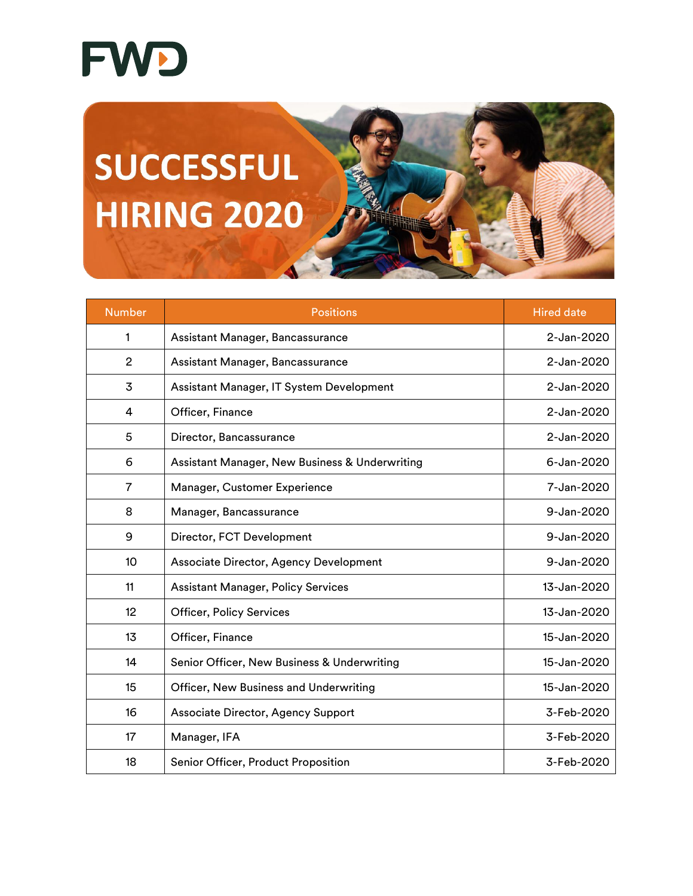

## **SUCCESSFUL HIRING 2020**

| <b>Number</b>  | <b>Positions</b>                               | <b>Hired date</b> |
|----------------|------------------------------------------------|-------------------|
| 1              | Assistant Manager, Bancassurance               | 2-Jan-2020        |
| $\overline{2}$ | Assistant Manager, Bancassurance               | 2-Jan-2020        |
| 3              | Assistant Manager, IT System Development       | 2-Jan-2020        |
| 4              | Officer, Finance                               | 2-Jan-2020        |
| 5              | Director, Bancassurance                        | 2-Jan-2020        |
| 6              | Assistant Manager, New Business & Underwriting | 6-Jan-2020        |
| 7              | Manager, Customer Experience                   | 7-Jan-2020        |
| 8              | Manager, Bancassurance                         | 9-Jan-2020        |
| 9              | Director, FCT Development                      | 9-Jan-2020        |
| 10             | Associate Director, Agency Development         | 9-Jan-2020        |
| 11             | <b>Assistant Manager, Policy Services</b>      | 13-Jan-2020       |
| 12             | <b>Officer, Policy Services</b>                | 13-Jan-2020       |
| 13             | Officer, Finance                               | 15-Jan-2020       |
| 14             | Senior Officer, New Business & Underwriting    | 15-Jan-2020       |
| 15             | Officer, New Business and Underwriting         | 15-Jan-2020       |
| 16             | Associate Director, Agency Support             | 3-Feb-2020        |
| 17             | Manager, IFA                                   | 3-Feb-2020        |
| 18             | Senior Officer, Product Proposition            | 3-Feb-2020        |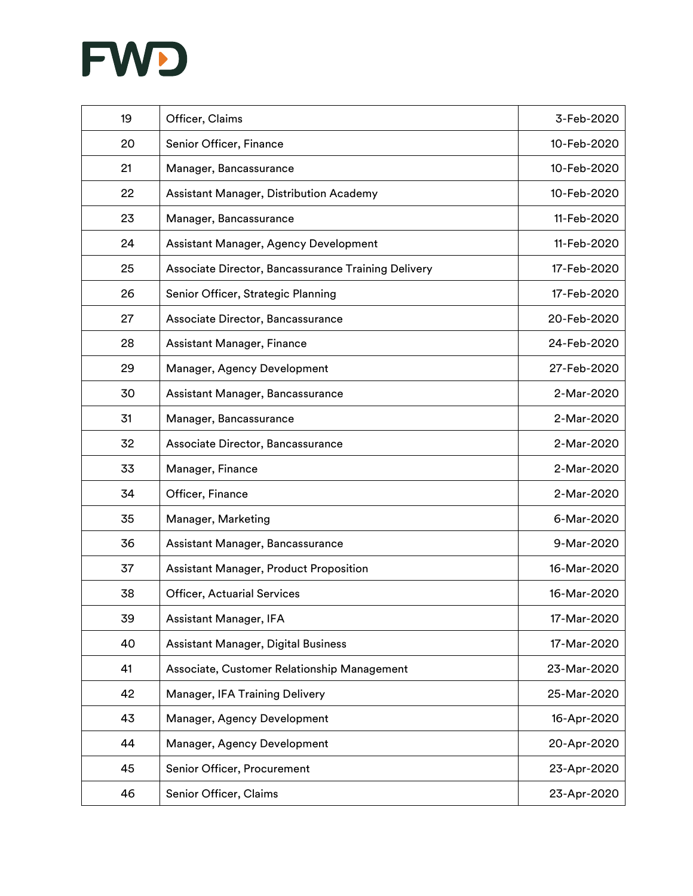

| 19 | Officer, Claims                                     | 3-Feb-2020  |
|----|-----------------------------------------------------|-------------|
| 20 | Senior Officer, Finance                             | 10-Feb-2020 |
| 21 | Manager, Bancassurance                              | 10-Feb-2020 |
| 22 | Assistant Manager, Distribution Academy             | 10-Feb-2020 |
| 23 | Manager, Bancassurance                              | 11-Feb-2020 |
| 24 | Assistant Manager, Agency Development               | 11-Feb-2020 |
| 25 | Associate Director, Bancassurance Training Delivery | 17-Feb-2020 |
| 26 | Senior Officer, Strategic Planning                  | 17-Feb-2020 |
| 27 | Associate Director, Bancassurance                   | 20-Feb-2020 |
| 28 | Assistant Manager, Finance                          | 24-Feb-2020 |
| 29 | Manager, Agency Development                         | 27-Feb-2020 |
| 30 | Assistant Manager, Bancassurance                    | 2-Mar-2020  |
| 31 | Manager, Bancassurance                              | 2-Mar-2020  |
| 32 | Associate Director, Bancassurance                   | 2-Mar-2020  |
| 33 | Manager, Finance                                    | 2-Mar-2020  |
| 34 | Officer, Finance                                    | 2-Mar-2020  |
| 35 | Manager, Marketing                                  | 6-Mar-2020  |
| 36 | Assistant Manager, Bancassurance                    | 9-Mar-2020  |
| 37 | <b>Assistant Manager, Product Proposition</b>       | 16-Mar-2020 |
| 38 | <b>Officer, Actuarial Services</b>                  | 16-Mar-2020 |
| 39 | Assistant Manager, IFA                              | 17-Mar-2020 |
| 40 | <b>Assistant Manager, Digital Business</b>          | 17-Mar-2020 |
| 41 | Associate, Customer Relationship Management         | 23-Mar-2020 |
| 42 | Manager, IFA Training Delivery                      | 25-Mar-2020 |
| 43 | Manager, Agency Development                         | 16-Apr-2020 |
| 44 | Manager, Agency Development                         | 20-Apr-2020 |
| 45 | Senior Officer, Procurement                         | 23-Apr-2020 |
| 46 | Senior Officer, Claims                              | 23-Apr-2020 |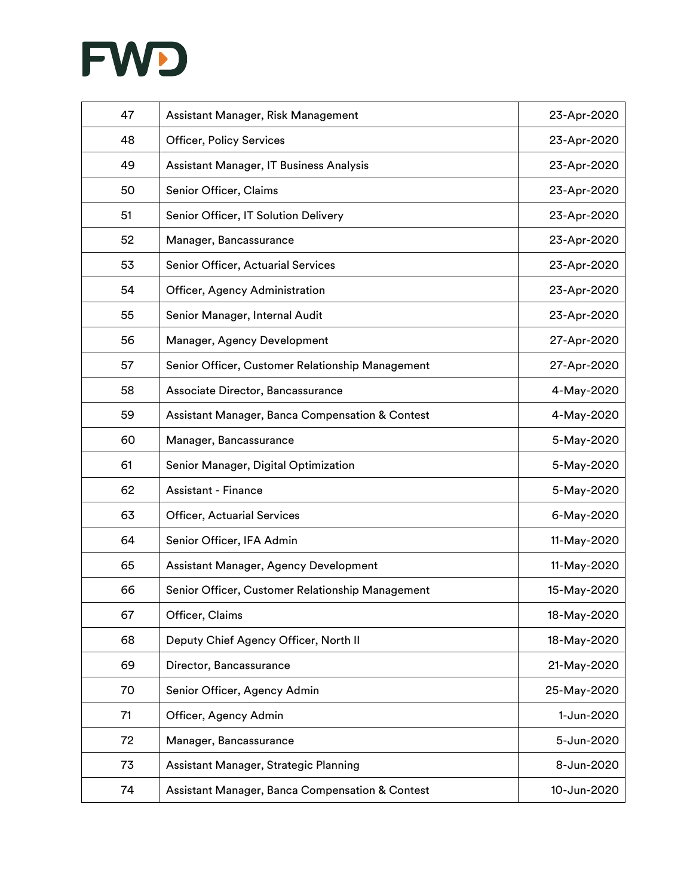

| 47 | Assistant Manager, Risk Management               | 23-Apr-2020 |
|----|--------------------------------------------------|-------------|
| 48 | <b>Officer, Policy Services</b>                  | 23-Apr-2020 |
| 49 | Assistant Manager, IT Business Analysis          | 23-Apr-2020 |
| 50 | Senior Officer, Claims                           | 23-Apr-2020 |
| 51 | Senior Officer, IT Solution Delivery             | 23-Apr-2020 |
| 52 | Manager, Bancassurance                           | 23-Apr-2020 |
| 53 | Senior Officer, Actuarial Services               | 23-Apr-2020 |
| 54 | Officer, Agency Administration                   | 23-Apr-2020 |
| 55 | Senior Manager, Internal Audit                   | 23-Apr-2020 |
| 56 | Manager, Agency Development                      | 27-Apr-2020 |
| 57 | Senior Officer, Customer Relationship Management | 27-Apr-2020 |
| 58 | Associate Director, Bancassurance                | 4-May-2020  |
| 59 | Assistant Manager, Banca Compensation & Contest  | 4-May-2020  |
| 60 | Manager, Bancassurance                           | 5-May-2020  |
| 61 | Senior Manager, Digital Optimization             | 5-May-2020  |
| 62 | <b>Assistant - Finance</b>                       | 5-May-2020  |
| 63 | <b>Officer, Actuarial Services</b>               | 6-May-2020  |
| 64 | Senior Officer, IFA Admin                        | 11-May-2020 |
| 65 | Assistant Manager, Agency Development            | 11-May-2020 |
| 66 | Senior Officer, Customer Relationship Management | 15-May-2020 |
| 67 | Officer, Claims                                  | 18-May-2020 |
| 68 | Deputy Chief Agency Officer, North II            | 18-May-2020 |
| 69 | Director, Bancassurance                          | 21-May-2020 |
| 70 | Senior Officer, Agency Admin                     | 25-May-2020 |
| 71 | Officer, Agency Admin                            | 1-Jun-2020  |
| 72 | Manager, Bancassurance                           | 5-Jun-2020  |
| 73 | Assistant Manager, Strategic Planning            | 8-Jun-2020  |
| 74 | Assistant Manager, Banca Compensation & Contest  | 10-Jun-2020 |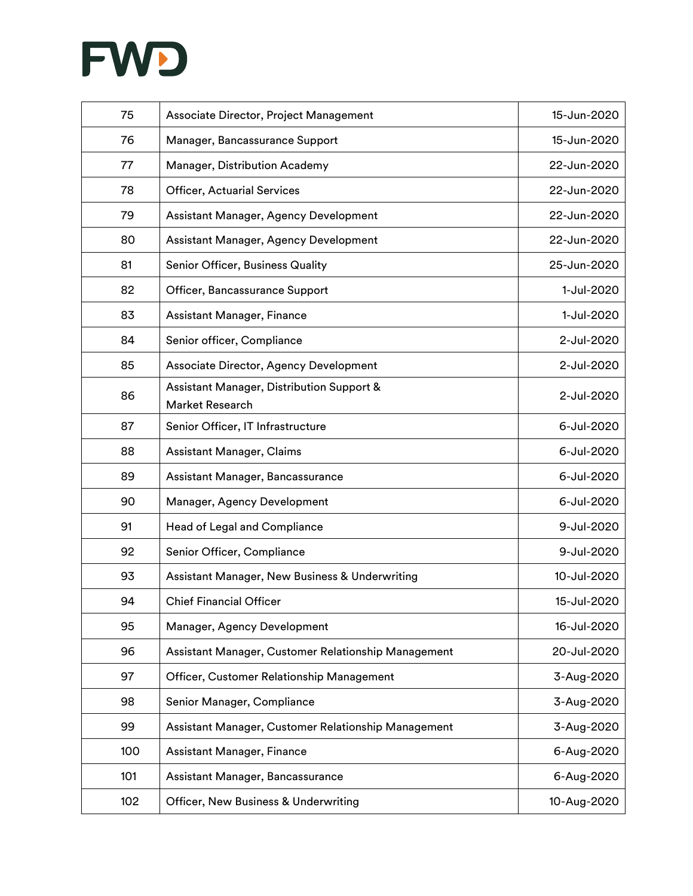

| 75  | Associate Director, Project Management                       | 15-Jun-2020 |
|-----|--------------------------------------------------------------|-------------|
| 76  | Manager, Bancassurance Support                               | 15-Jun-2020 |
| 77  | Manager, Distribution Academy                                | 22-Jun-2020 |
| 78  | <b>Officer, Actuarial Services</b>                           | 22-Jun-2020 |
| 79  | Assistant Manager, Agency Development                        | 22-Jun-2020 |
| 80  | Assistant Manager, Agency Development                        | 22-Jun-2020 |
| 81  | Senior Officer, Business Quality                             | 25-Jun-2020 |
| 82  | Officer, Bancassurance Support                               | 1-Jul-2020  |
| 83  | Assistant Manager, Finance                                   | 1-Jul-2020  |
| 84  | Senior officer, Compliance                                   | 2-Jul-2020  |
| 85  | Associate Director, Agency Development                       | 2-Jul-2020  |
| 86  | Assistant Manager, Distribution Support &<br>Market Research | 2-Jul-2020  |
| 87  | Senior Officer, IT Infrastructure                            | 6-Jul-2020  |
| 88  | Assistant Manager, Claims                                    | 6-Jul-2020  |
| 89  | Assistant Manager, Bancassurance                             | 6-Jul-2020  |
| 90  | Manager, Agency Development                                  | 6-Jul-2020  |
| 91  | Head of Legal and Compliance                                 | 9-Jul-2020  |
| 92  | Senior Officer, Compliance                                   | 9-Jul-2020  |
| 93  | Assistant Manager, New Business & Underwriting               | 10-Jul-2020 |
| 94  | <b>Chief Financial Officer</b>                               | 15-Jul-2020 |
| 95  | Manager, Agency Development                                  | 16-Jul-2020 |
| 96  | Assistant Manager, Customer Relationship Management          | 20-Jul-2020 |
| 97  | Officer, Customer Relationship Management                    | 3-Aug-2020  |
| 98  | Senior Manager, Compliance                                   | 3-Aug-2020  |
| 99  | Assistant Manager, Customer Relationship Management          | 3-Aug-2020  |
| 100 | Assistant Manager, Finance                                   | 6-Aug-2020  |
| 101 | Assistant Manager, Bancassurance                             | 6-Aug-2020  |
| 102 | Officer, New Business & Underwriting                         | 10-Aug-2020 |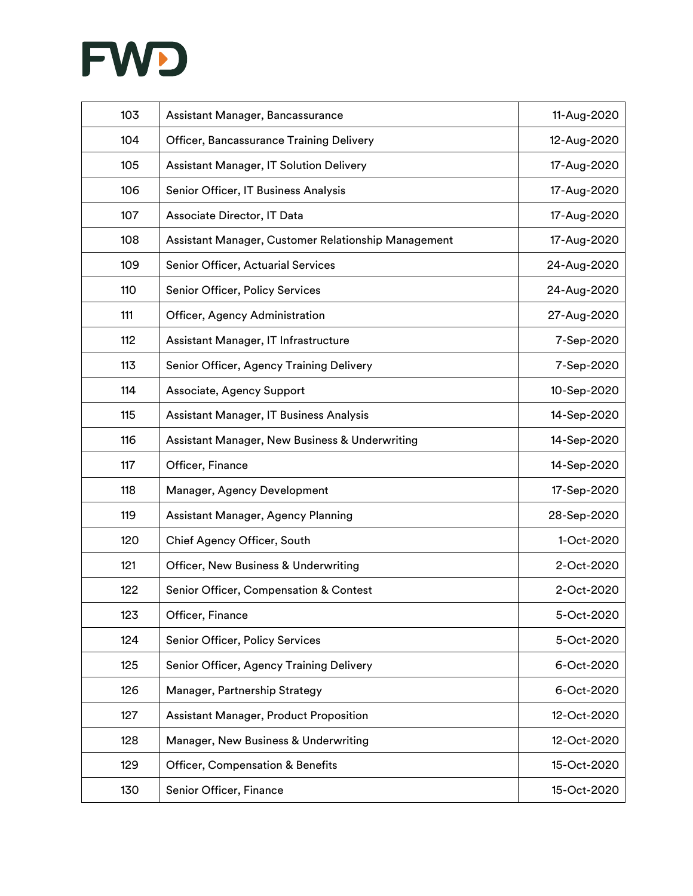

| 103 | Assistant Manager, Bancassurance                    | 11-Aug-2020 |
|-----|-----------------------------------------------------|-------------|
| 104 | Officer, Bancassurance Training Delivery            | 12-Aug-2020 |
| 105 | Assistant Manager, IT Solution Delivery             | 17-Aug-2020 |
| 106 | Senior Officer, IT Business Analysis                | 17-Aug-2020 |
| 107 | Associate Director, IT Data                         | 17-Aug-2020 |
| 108 | Assistant Manager, Customer Relationship Management | 17-Aug-2020 |
| 109 | Senior Officer, Actuarial Services                  | 24-Aug-2020 |
| 110 | Senior Officer, Policy Services                     | 24-Aug-2020 |
| 111 | Officer, Agency Administration                      | 27-Aug-2020 |
| 112 | Assistant Manager, IT Infrastructure                | 7-Sep-2020  |
| 113 | Senior Officer, Agency Training Delivery            | 7-Sep-2020  |
| 114 | Associate, Agency Support                           | 10-Sep-2020 |
| 115 | Assistant Manager, IT Business Analysis             | 14-Sep-2020 |
| 116 | Assistant Manager, New Business & Underwriting      | 14-Sep-2020 |
| 117 | Officer, Finance                                    | 14-Sep-2020 |
| 118 | Manager, Agency Development                         | 17-Sep-2020 |
| 119 | Assistant Manager, Agency Planning                  | 28-Sep-2020 |
| 120 | Chief Agency Officer, South                         | 1-Oct-2020  |
| 121 | Officer, New Business & Underwriting                | 2-Oct-2020  |
| 122 | Senior Officer, Compensation & Contest              | 2-Oct-2020  |
| 123 | Officer, Finance                                    | 5-Oct-2020  |
| 124 | Senior Officer, Policy Services                     | 5-Oct-2020  |
| 125 | Senior Officer, Agency Training Delivery            | 6-Oct-2020  |
| 126 | Manager, Partnership Strategy                       | 6-Oct-2020  |
| 127 | Assistant Manager, Product Proposition              | 12-Oct-2020 |
| 128 | Manager, New Business & Underwriting                | 12-Oct-2020 |
| 129 | Officer, Compensation & Benefits                    | 15-Oct-2020 |
| 130 | Senior Officer, Finance                             | 15-Oct-2020 |